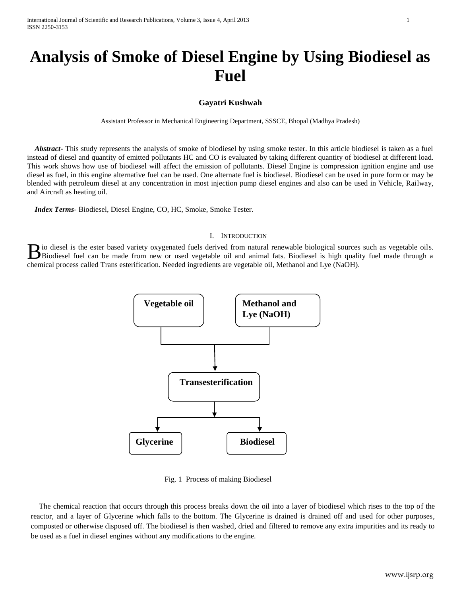# **Analysis of Smoke of Diesel Engine by Using Biodiesel as Fuel**

## **Gayatri Kushwah**

Assistant Professor in Mechanical Engineering Department, SSSCE, Bhopal (Madhya Pradesh)

 *Abstract***-** This study represents the analysis of smoke of biodiesel by using smoke tester. In this article biodiesel is taken as a fuel instead of diesel and quantity of emitted pollutants HC and CO is evaluated by taking different quantity of biodiesel at different load. This work shows how use of biodiesel will affect the emission of pollutants. Diesel Engine is compression ignition engine and use diesel as fuel, in this engine alternative fuel can be used. One alternate fuel is biodiesel. Biodiesel can be used in pure form or may be blended with petroleum diesel at any concentration in most injection pump diesel engines and also can be used in Vehicle, Railway, and Aircraft as heating oil.

 *Index Terms*- Biodiesel, Diesel Engine, CO, HC, Smoke, Smoke Tester.

#### I. INTRODUCTION

io diesel is the ester based variety oxygenated fuels derived from natural renewable biological sources such as vegetable oils. Biodiesel is the ester based variety oxygenated fuels derived from natural renewable biological sources such as vegetable oils.<br>Biodiesel fuel made through a unit of the made from new or used vegetable oil and animal fats. chemical process called Trans esterification. Needed ingredients are vegetable oil, Methanol and Lye (NaOH).



Fig. 1 Process of making Biodiesel

The chemical reaction that occurs through this process breaks down the oil into a layer of biodiesel which rises to the top of the reactor, and a layer of Glycerine which falls to the bottom. The Glycerine is drained is drained off and used for other purposes, composted or otherwise disposed off. The biodiesel is then washed, dried and filtered to remove any extra impurities and its ready to be used as a fuel in diesel engines without any modifications to the engine.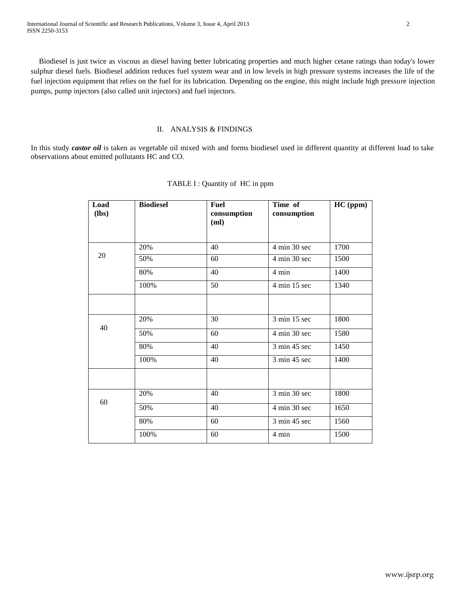Biodiesel is just twice as viscous as diesel having better lubricating properties and much higher cetane ratings than today's lower sulphur diesel fuels. Biodiesel addition reduces fuel system wear and in low levels in high pressure systems increases the life of the fuel injection equipment that relies on the fuel for its lubrication. Depending on the engine, this might include high pressure injection pumps, pump injectors (also called unit injectors) and fuel injectors.

## II. ANALYSIS & FINDINGS

In this study *castor oil* is taken as vegetable oil mixed with and forms biodiesel used in different quantity at different load to take observations about emitted pollutants HC and CO.

| Load<br>(lbs) | <b>Biodiesel</b> | <b>Fuel</b><br>consumption<br>(ml) | Time of<br>consumption | HC (ppm) |  |
|---------------|------------------|------------------------------------|------------------------|----------|--|
|               |                  |                                    |                        |          |  |
|               | 20%              | 40                                 | 4 min 30 sec           | 1700     |  |
| 20            | 50%              | 60                                 | 4 min 30 sec           | 1500     |  |
|               | 80%              | 40                                 | 4 min                  | 1400     |  |
|               | 100%             | 50                                 | 4 min 15 sec           | 1340     |  |
|               |                  |                                    |                        |          |  |
| 40            | 20%              | 30                                 | 3 min 15 sec           | 1800     |  |
|               | 50%              | 60                                 | 4 min 30 sec           | 1580     |  |
|               | 80%              | 40                                 | 3 min 45 sec           | 1450     |  |
|               | 100%             | 40                                 | 3 min 45 sec           | 1400     |  |
|               |                  |                                    |                        |          |  |
|               | 20%              | 40                                 | 3 min 30 sec           | 1800     |  |
| 60            | 50%              | 40                                 | 4 min 30 sec           | 1650     |  |
|               | 80%              | 60                                 | 3 min 45 sec           | 1560     |  |
|               | 100%             | 60                                 | 4 min                  | 1500     |  |

## TABLE I : Quantity of HC in ppm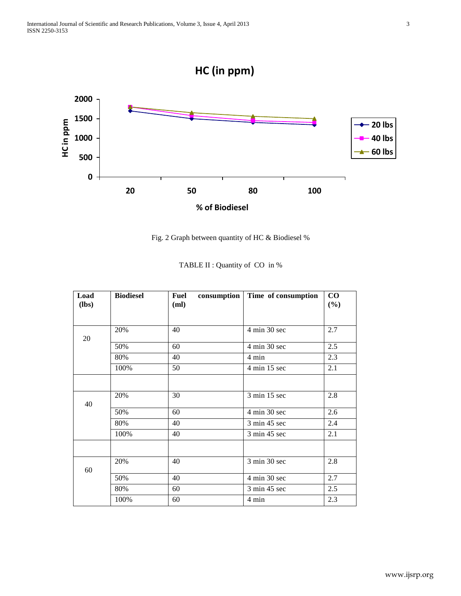



| Fig. 2 Graph between quantity of HC & Biodiesel % |  |  |  |  |
|---------------------------------------------------|--|--|--|--|
|---------------------------------------------------|--|--|--|--|

| Load<br>$(lbs)$ | <b>Biodiesel</b> | consumption<br>Fuel<br>(ml) | Time of consumption | $\bf CO$<br>(%) |  |
|-----------------|------------------|-----------------------------|---------------------|-----------------|--|
| 20              | 20%              | 40                          | 4 min 30 sec        | 2.7             |  |
|                 | 50%              | 60                          | 4 min 30 sec        | 2.5             |  |
|                 | 80%              | 40                          | 4 min               | 2.3             |  |
|                 | 100%             | 50                          | 4 min 15 sec        | 2.1             |  |
|                 |                  |                             |                     |                 |  |
| 40              | 20%              | 30                          | 3 min 15 sec        | 2.8             |  |
|                 | 50%              | 60                          | 4 min 30 sec        | 2.6             |  |
|                 | 80%              | 40                          | 3 min 45 sec        | 2.4             |  |
|                 | 100%             | 40                          | 3 min 45 sec        | 2.1             |  |
|                 |                  |                             |                     |                 |  |
| 60              | 20%              | 40                          | 3 min 30 sec        | 2.8             |  |
|                 | 50%              | 40                          | 4 min 30 sec        | 2.7             |  |
|                 | 80%              | 60                          | 3 min 45 sec        | 2.5             |  |
|                 | 100%             | 60                          | 4 min               | 2.3             |  |

|  |  |  |  |  | TABLE II : Quantity of CO in % |  |  |  |  |
|--|--|--|--|--|--------------------------------|--|--|--|--|
|--|--|--|--|--|--------------------------------|--|--|--|--|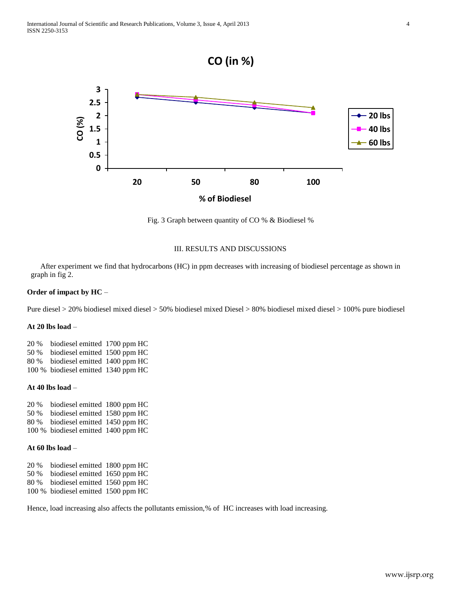

Fig. 3 Graph between quantity of CO % & Biodiesel %

## III. RESULTS AND DISCUSSIONS

 After experiment we find that hydrocarbons (HC) in ppm decreases with increasing of biodiesel percentage as shown in graph in fig 2.

#### **Order of impact by HC** –

Pure diesel > 20% biodiesel mixed diesel > 50% biodiesel mixed Diesel > 80% biodiesel mixed diesel > 100% pure biodiesel

## **At 20 lbs load** –

20 % biodiesel emitted 1700 ppm HC 50 % biodiesel emitted 1500 ppm HC 80 % biodiesel emitted 1400 ppm HC 100 % biodiesel emitted 1340 ppm HC

#### **At 40 lbs load** –

20 % biodiesel emitted 1800 ppm HC 50 % biodiesel emitted 1580 ppm HC 80 % biodiesel emitted 1450 ppm HC 100 % biodiesel emitted 1400 ppm HC

## **At 60 lbs load** –

20 % biodiesel emitted 1800 ppm HC 50 % biodiesel emitted 1650 ppm HC 80 % biodiesel emitted 1560 ppm HC 100 % biodiesel emitted 1500 ppm HC

Hence, load increasing also affects the pollutants emission,% of HC increases with load increasing.